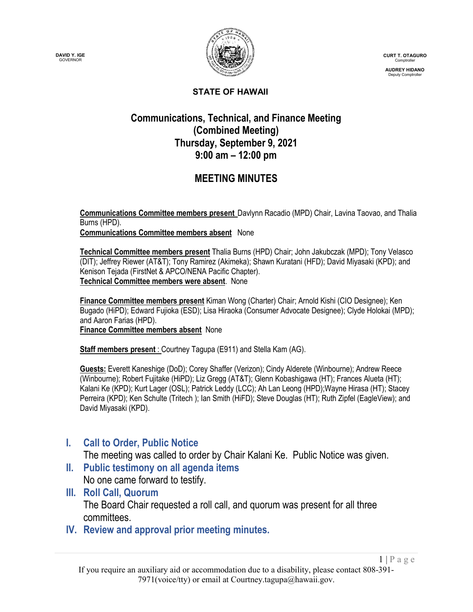



**CURT T. OTAGURO** Comptroller

**AUDREY HIDANO** Deputy Comptroller

 $1 | P \text{ a } g \text{ e}$ 

#### **STATE OF HAWAII**

### **Communications, Technical, and Finance Meeting (Combined Meeting) Thursday, September 9, 2021 9:00 am – 12:00 pm**

# **MEETING MINUTES**

**Communications Committee members present** Davlynn Racadio (MPD) Chair, Lavina Taovao, and Thalia Burns (HPD).

**Communications Committee members absent** None

**Technical Committee members present** Thalia Burns (HPD) Chair; John Jakubczak (MPD); Tony Velasco (DIT); Jeffrey Riewer (AT&T); Tony Ramirez (Akimeka); Shawn Kuratani (HFD); David Miyasaki (KPD); and Kenison Tejada (FirstNet & APCO/NENA Pacific Chapter). **Technical Committee members were absent**. None

**Finance Committee members present** Kiman Wong (Charter) Chair; Arnold Kishi (CIO Designee); Ken Bugado (HiPD); Edward Fujioka (ESD); Lisa Hiraoka (Consumer Advocate Designee); Clyde Holokai (MPD); and Aaron Farias (HPD). **Finance Committee members absent** None

**Staff members present** : Courtney Tagupa (E911) and Stella Kam (AG).

**Guests:** Everett Kaneshige (DoD); Corey Shaffer (Verizon); Cindy Alderete (Winbourne); Andrew Reece (Winbourne); Robert Fujitake (HiPD); Liz Gregg (AT&T); Glenn Kobashigawa (HT); Frances Alueta (HT); Kalani Ke (KPD); Kurt Lager (OSL); Patrick Leddy (LCC); Ah Lan Leong (HPD);Wayne Hirasa (HT); Stacey Perreira (KPD); Ken Schulte (Tritech ); Ian Smith (HiFD); Steve Douglas (HT); Ruth Zipfel (EagleView); and David Miyasaki (KPD).

### **I. Call to Order, Public Notice**

The meeting was called to order by Chair Kalani Ke. Public Notice was given.

**II. Public testimony on all agenda items**

No one came forward to testify.

- **III. Roll Call, Quorum** The Board Chair requested a roll call, and quorum was present for all three committees.
- **IV. Review and approval prior meeting minutes.**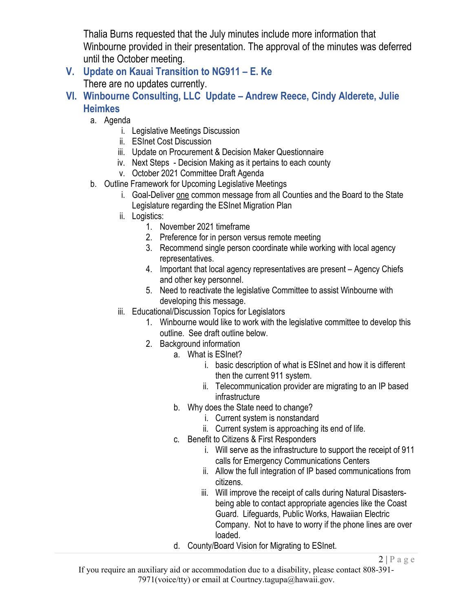Thalia Burns requested that the July minutes include more information that Winbourne provided in their presentation. The approval of the minutes was deferred until the October meeting.

- **V. Update on Kauai Transition to NG911 – E. Ke** There are no updates currently.
- **VI. Winbourne Consulting, LLC Update – Andrew Reece, Cindy Alderete, Julie Heimkes**
	- a. Agenda
		- i. Legislative Meetings Discussion
		- ii. ESInet Cost Discussion
		- iii. Update on Procurement & Decision Maker Questionnaire
		- iv. Next Steps Decision Making as it pertains to each county
		- v. October 2021 Committee Draft Agenda
	- b. Outline Framework for Upcoming Legislative Meetings
		- i. Goal-Deliver one common message from all Counties and the Board to the State Legislature regarding the ESInet Migration Plan
		- ii. Logistics:
			- 1. November 2021 timeframe
			- 2. Preference for in person versus remote meeting
			- 3. Recommend single person coordinate while working with local agency representatives.
			- 4. Important that local agency representatives are present Agency Chiefs and other key personnel.
			- 5. Need to reactivate the legislative Committee to assist Winbourne with developing this message.
		- iii. Educational/Discussion Topics for Legislators
			- 1. Winbourne would like to work with the legislative committee to develop this outline. See draft outline below.
			- 2. Background information
				- a. What is ESInet?
					- i. basic description of what is ESInet and how it is different then the current 911 system.
					- ii. Telecommunication provider are migrating to an IP based infrastructure
				- b. Why does the State need to change?
					- i. Current system is nonstandard
					- ii. Current system is approaching its end of life.
				- c. Benefit to Citizens & First Responders
					- i. Will serve as the infrastructure to support the receipt of 911 calls for Emergency Communications Centers
					- ii. Allow the full integration of IP based communications from citizens.
					- iii. Will improve the receipt of calls during Natural Disastersbeing able to contact appropriate agencies like the Coast Guard. Lifeguards, Public Works, Hawaiian Electric Company. Not to have to worry if the phone lines are over loaded.
				- d. County/Board Vision for Migrating to ESInet.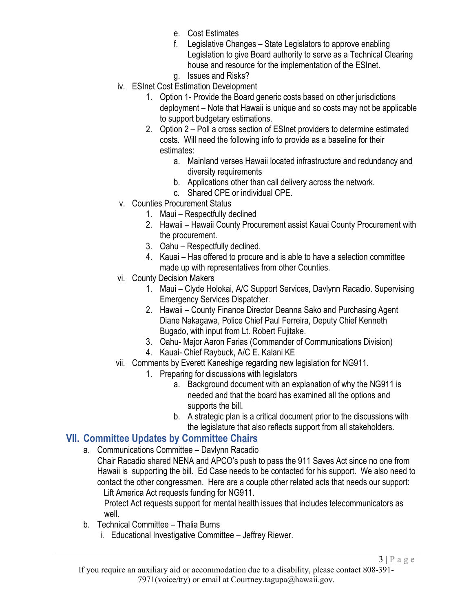- e. Cost Estimates
- f. Legislative Changes State Legislators to approve enabling Legislation to give Board authority to serve as a Technical Clearing house and resource for the implementation of the ESInet.
- g. Issues and Risks?
- iv. ESInet Cost Estimation Development
	- 1. Option 1- Provide the Board generic costs based on other jurisdictions deployment – Note that Hawaii is unique and so costs may not be applicable to support budgetary estimations.
	- 2. Option 2 Poll a cross section of ESInet providers to determine estimated costs. Will need the following info to provide as a baseline for their estimates:
		- a. Mainland verses Hawaii located infrastructure and redundancy and diversity requirements
		- b. Applications other than call delivery across the network.
		- c. Shared CPE or individual CPE.
- v. Counties Procurement Status
	- 1. Maui Respectfully declined
	- 2. Hawaii Hawaii County Procurement assist Kauai County Procurement with the procurement.
	- 3. Oahu Respectfully declined.
	- 4. Kauai Has offered to procure and is able to have a selection committee made up with representatives from other Counties.
- vi. County Decision Makers
	- 1. Maui Clyde Holokai, A/C Support Services, Davlynn Racadio. Supervising Emergency Services Dispatcher.
	- 2. Hawaii County Finance Director Deanna Sako and Purchasing Agent Diane Nakagawa, Police Chief Paul Ferreira, Deputy Chief Kenneth Bugado, with input from Lt. Robert Fujitake.
	- 3. Oahu- Major Aaron Farias (Commander of Communications Division)
	- 4. Kauai- Chief Raybuck, A/C E. Kalani KE
- vii. Comments by Everett Kaneshige regarding new legislation for NG911.
	- 1. Preparing for discussions with legislators
		- a. Background document with an explanation of why the NG911 is needed and that the board has examined all the options and supports the bill.
		- b. A strategic plan is a critical document prior to the discussions with the legislature that also reflects support from all stakeholders.

### **VII. Committee Updates by Committee Chairs**

- a. Communications Committee Davlynn Racadio
	- Chair Racadio shared NENA and APCO's push to pass the 911 Saves Act since no one from Hawaii is supporting the bill. Ed Case needs to be contacted for his support. We also need to contact the other congressmen. Here are a couple other related acts that needs our support: Lift America Act requests funding for NG911.

Protect Act requests support for mental health issues that includes telecommunicators as well.

- b. Technical Committee Thalia Burns
	- i. Educational Investigative Committee Jeffrey Riewer.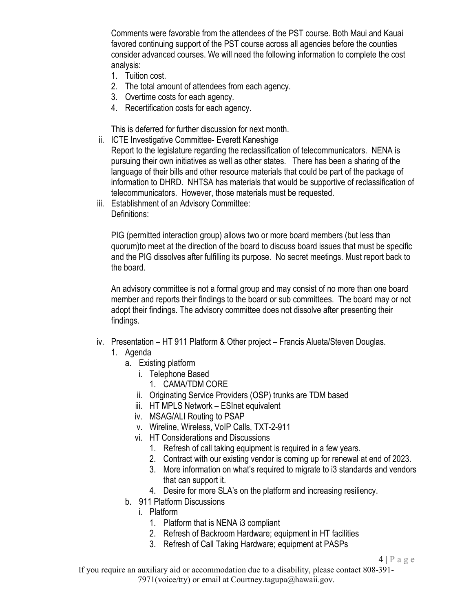Comments were favorable from the attendees of the PST course. Both Maui and Kauai favored continuing support of the PST course across all agencies before the counties consider advanced courses. We will need the following information to complete the cost analysis:

- 1. Tuition cost.
- 2. The total amount of attendees from each agency.
- 3. Overtime costs for each agency.
- 4. Recertification costs for each agency.

This is deferred for further discussion for next month.

ii. ICTE Investigative Committee- Everett Kaneshige

Report to the legislature regarding the reclassification of telecommunicators. NENA is pursuing their own initiatives as well as other states. There has been a sharing of the language of their bills and other resource materials that could be part of the package of information to DHRD. NHTSA has materials that would be supportive of reclassification of telecommunicators. However, those materials must be requested.

iii. Establishment of an Advisory Committee: Definitions:

PIG (permitted interaction group) allows two or more board members (but less than quorum)to meet at the direction of the board to discuss board issues that must be specific and the PIG dissolves after fulfilling its purpose. No secret meetings. Must report back to the board.

An advisory committee is not a formal group and may consist of no more than one board member and reports their findings to the board or sub committees. The board may or not adopt their findings. The advisory committee does not dissolve after presenting their findings.

- iv. Presentation HT 911 Platform & Other project Francis Alueta/Steven Douglas.
	- 1. Agenda
		- a. Existing platform
			- i. Telephone Based
				- 1. CAMA/TDM CORE
			- ii. Originating Service Providers (OSP) trunks are TDM based
			- iii. HT MPLS Network ESInet equivalent
			- iv. MSAG/ALI Routing to PSAP
			- v. Wireline, Wireless, VoIP Calls, TXT-2-911
			- vi. HT Considerations and Discussions
				- 1. Refresh of call taking equipment is required in a few years.
				- 2. Contract with our existing vendor is coming up for renewal at end of 2023.
				- 3. More information on what's required to migrate to i3 standards and vendors that can support it.

 $4 | P \text{ a } g \text{ e}$ 

- 4. Desire for more SLA's on the platform and increasing resiliency.
- b. 911 Platform Discussions
	- i. Platform
		- 1. Platform that is NENA i3 compliant
		- 2. Refresh of Backroom Hardware; equipment in HT facilities
		- 3. Refresh of Call Taking Hardware; equipment at PASPs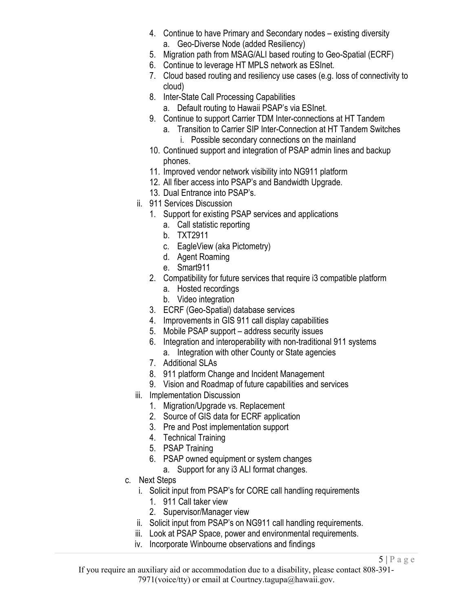- 4. Continue to have Primary and Secondary nodes existing diversity a. Geo-Diverse Node (added Resiliency)
- 5. Migration path from MSAG/ALI based routing to Geo-Spatial (ECRF)
- 6. Continue to leverage HT MPLS network as ESInet.
- 7. Cloud based routing and resiliency use cases (e.g. loss of connectivity to cloud)
- 8. Inter-State Call Processing Capabilities
	- a. Default routing to Hawaii PSAP's via ESInet.
- 9. Continue to support Carrier TDM Inter-connections at HT Tandem
	- a. Transition to Carrier SIP Inter-Connection at HT Tandem Switches i. Possible secondary connections on the mainland
- 10. Continued support and integration of PSAP admin lines and backup phones.
- 11. Improved vendor network visibility into NG911 platform
- 12. All fiber access into PSAP's and Bandwidth Upgrade.
- 13. Dual Entrance into PSAP's.
- ii. 911 Services Discussion
	- 1. Support for existing PSAP services and applications
		- a. Call statistic reporting
		- b. TXT2911
		- c. EagleView (aka Pictometry)
		- d. Agent Roaming
		- e. Smart911
	- 2. Compatibility for future services that require i3 compatible platform
		- a. Hosted recordings
		- b. Video integration
	- 3. ECRF (Geo-Spatial) database services
	- 4. Improvements in GIS 911 call display capabilities
	- 5. Mobile PSAP support address security issues
	- 6. Integration and interoperability with non-traditional 911 systems a. Integration with other County or State agencies
	- 7. Additional SLAs
	- 8. 911 platform Change and Incident Management
	- 9. Vision and Roadmap of future capabilities and services
- iii. Implementation Discussion
	- 1. Migration/Upgrade vs. Replacement
	- 2. Source of GIS data for ECRF application
	- 3. Pre and Post implementation support
	- 4. Technical Training
	- 5. PSAP Training
	- 6. PSAP owned equipment or system changes
	- a. Support for any i3 ALI format changes.
- c. Next Steps
	- i. Solicit input from PSAP's for CORE call handling requirements
		- 1. 911 Call taker view
		- 2. Supervisor/Manager view
	- ii. Solicit input from PSAP's on NG911 call handling requirements.
	- iii. Look at PSAP Space, power and environmental requirements.
	- iv. Incorporate Winbourne observations and findings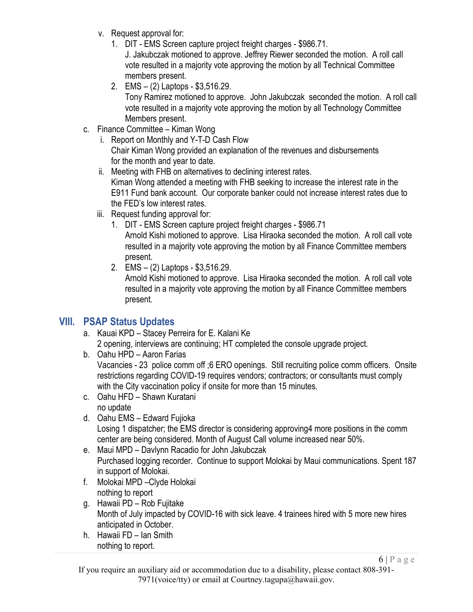- v. Request approval for:
	- 1. DIT EMS Screen capture project freight charges \$986.71.

J. Jakubczak motioned to approve. Jeffrey Riewer seconded the motion. A roll call vote resulted in a majority vote approving the motion by all Technical Committee members present.

- 2. EMS (2) Laptops \$3,516.29. Tony Ramirez motioned to approve. John Jakubczak seconded the motion. A roll call vote resulted in a majority vote approving the motion by all Technology Committee Members present.
- c. Finance Committee Kiman Wong
	- i. Report on Monthly and Y-T-D Cash Flow Chair Kiman Wong provided an explanation of the revenues and disbursements for the month and year to date.
	- ii. Meeting with FHB on alternatives to declining interest rates. Kiman Wong attended a meeting with FHB seeking to increase the interest rate in the E911 Fund bank account. Our corporate banker could not increase interest rates due to the FED's low interest rates.
	- iii. Request funding approval for:
		- 1. DIT EMS Screen capture project freight charges \$986.71 Arnold Kishi motioned to approve. Lisa Hiraoka seconded the motion. A roll call vote resulted in a majority vote approving the motion by all Finance Committee members present.
		- 2. EMS (2) Laptops \$3,516.29.

Arnold Kishi motioned to approve. Lisa Hiraoka seconded the motion. A roll call vote resulted in a majority vote approving the motion by all Finance Committee members present.

# **VIII. PSAP Status Updates**

- a. Kauai KPD Stacey Perreira for E. Kalani Ke 2 opening, interviews are continuing; HT completed the console upgrade project.
- b. Oahu HPD Aaron Farias Vacancies - 23 police comm off ;6 ERO openings. Still recruiting police comm officers. Onsite restrictions regarding COVID-19 requires vendors; contractors; or consultants must comply with the City vaccination policy if onsite for more than 15 minutes.
- c. Oahu HFD Shawn Kuratani no update
- d. Oahu EMS Edward Fujioka Losing 1 dispatcher; the EMS director is considering approving4 more positions in the comm center are being considered. Month of August Call volume increased near 50%.
- e. Maui MPD Davlynn Racadio for John Jakubczak Purchased logging recorder. Continue to support Molokai by Maui communications. Spent 187 in support of Molokai.
- f. Molokai MPD –Clyde Holokai nothing to report
- g. Hawaii PD Rob Fujitake Month of July impacted by COVID-16 with sick leave. 4 trainees hired with 5 more new hires anticipated in October.
- h. Hawaii FD Ian Smith nothing to report.